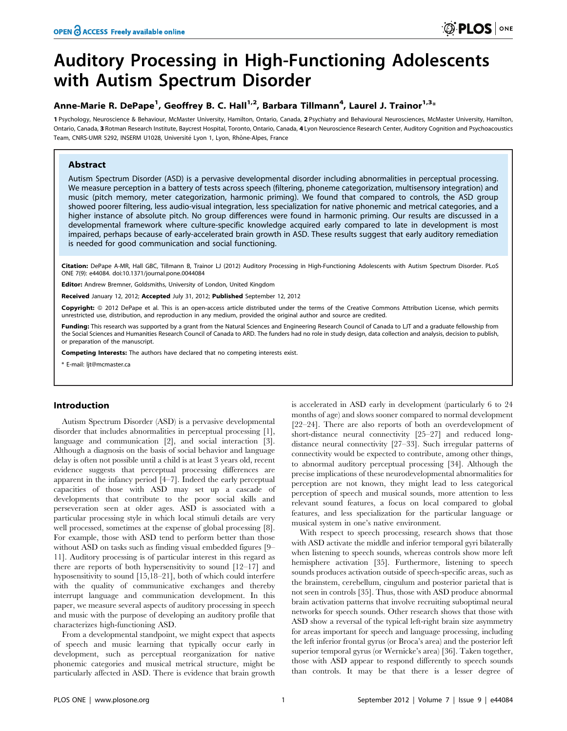# Auditory Processing in High-Functioning Adolescents with Autism Spectrum Disorder

# Anne-Marie R. DePape<sup>1</sup>, Geoffrey B. C. Hall<sup>1,2</sup>, Barbara Tillmann<sup>4</sup>, Laurel J. Trainor<sup>1,3</sup>\*

1 Psychology, Neuroscience & Behaviour, McMaster University, Hamilton, Ontario, Canada, 2 Psychiatry and Behavioural Neurosciences, McMaster University, Hamilton, Ontario, Canada, 3 Rotman Research Institute, Baycrest Hospital, Toronto, Ontario, Canada, 4 Lyon Neuroscience Research Center, Auditory Cognition and Psychoacoustics Team, CNRS-UMR 5292, INSERM U1028, Université Lyon 1, Lyon, Rhône-Alpes, France

# Abstract

Autism Spectrum Disorder (ASD) is a pervasive developmental disorder including abnormalities in perceptual processing. We measure perception in a battery of tests across speech (filtering, phoneme categorization, multisensory integration) and music (pitch memory, meter categorization, harmonic priming). We found that compared to controls, the ASD group showed poorer filtering, less audio-visual integration, less specialization for native phonemic and metrical categories, and a higher instance of absolute pitch. No group differences were found in harmonic priming. Our results are discussed in a developmental framework where culture-specific knowledge acquired early compared to late in development is most impaired, perhaps because of early-accelerated brain growth in ASD. These results suggest that early auditory remediation is needed for good communication and social functioning.

Citation: DePape A-MR, Hall GBC, Tillmann B, Trainor LJ (2012) Auditory Processing in High-Functioning Adolescents with Autism Spectrum Disorder. PLoS ONE 7(9): e44084. doi:10.1371/journal.pone.0044084

Editor: Andrew Bremner, Goldsmiths, University of London, United Kingdom

Received January 12, 2012; Accepted July 31, 2012; Published September 12, 2012

**Copyright:** © 2012 DePape et al. This is an open-access article distributed under the terms of the Creative Commons Attribution License, which permits unrestricted use, distribution, and reproduction in any medium, provided the original author and source are credited.

Funding: This research was supported by a grant from the Natural Sciences and Engineering Research Council of Canada to LJT and a graduate fellowship from the Social Sciences and Humanities Research Council of Canada to ARD. The funders had no role in study design, data collection and analysis, decision to publish, or preparation of the manuscript.

Competing Interests: The authors have declared that no competing interests exist.

\* E-mail: ljt@mcmaster.ca

# Introduction

Autism Spectrum Disorder (ASD) is a pervasive developmental disorder that includes abnormalities in perceptual processing [1], language and communication [2], and social interaction [3]. Although a diagnosis on the basis of social behavior and language delay is often not possible until a child is at least 3 years old, recent evidence suggests that perceptual processing differences are apparent in the infancy period [4–7]. Indeed the early perceptual capacities of those with ASD may set up a cascade of developments that contribute to the poor social skills and perseveration seen at older ages. ASD is associated with a particular processing style in which local stimuli details are very well processed, sometimes at the expense of global processing [8]. For example, those with ASD tend to perform better than those without ASD on tasks such as finding visual embedded figures [9– 11]. Auditory processing is of particular interest in this regard as there are reports of both hypersensitivity to sound [12–17] and hyposensitivity to sound [15,18–21], both of which could interfere with the quality of communicative exchanges and thereby interrupt language and communication development. In this paper, we measure several aspects of auditory processing in speech and music with the purpose of developing an auditory profile that characterizes high-functioning ASD.

From a developmental standpoint, we might expect that aspects of speech and music learning that typically occur early in development, such as perceptual reorganization for native phonemic categories and musical metrical structure, might be particularly affected in ASD. There is evidence that brain growth is accelerated in ASD early in development (particularly 6 to 24 months of age) and slows sooner compared to normal development [22–24]. There are also reports of both an overdevelopment of short-distance neural connectivity [25–27] and reduced longdistance neural connectivity [27–33]. Such irregular patterns of connectivity would be expected to contribute, among other things, to abnormal auditory perceptual processing [34]. Although the precise implications of these neurodevelopmental abnormalities for perception are not known, they might lead to less categorical perception of speech and musical sounds, more attention to less relevant sound features, a focus on local compared to global features, and less specialization for the particular language or musical system in one's native environment.

With respect to speech processing, research shows that those with ASD activate the middle and inferior temporal gyri bilaterally when listening to speech sounds, whereas controls show more left hemisphere activation [35]. Furthermore, listening to speech sounds produces activation outside of speech-specific areas, such as the brainstem, cerebellum, cingulum and posterior parietal that is not seen in controls [35]. Thus, those with ASD produce abnormal brain activation patterns that involve recruiting suboptimal neural networks for speech sounds. Other research shows that those with ASD show a reversal of the typical left-right brain size asymmetry for areas important for speech and language processing, including the left inferior frontal gyrus (or Broca's area) and the posterior left superior temporal gyrus (or Wernicke's area) [36]. Taken together, those with ASD appear to respond differently to speech sounds than controls. It may be that there is a lesser degree of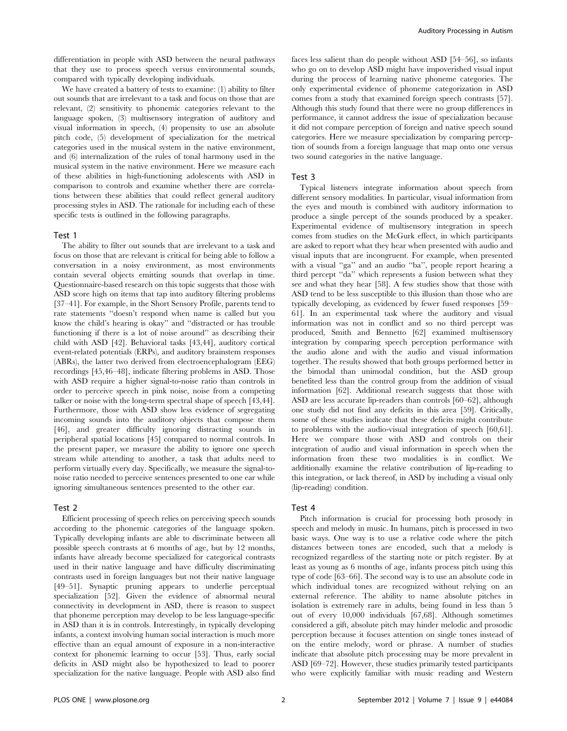differentiation in people with ASD between the neural pathways that they use to process speech versus environmental sounds, compared with typically developing individuals.

We have created a battery of tests to examine: (1) ability to filter out sounds that are irrelevant to a task and focus on those that are relevant, (2) sensitivity to phonemic categories relevant to the language spoken, (3) multisensory integration of auditory and visual information in speech, (4) propensity to use an absolute pitch code, (5) development of specialization for the metrical categories used in the musical system in the native environment, and (6) internalization of the rules of tonal harmony used in the musical system in the native environment. Here we measure each of these abilities in high-functioning adolescents with ASD in comparison to controls and examine whether there are correlations between these abilities that could reflect general auditory processing styles in ASD. The rationale for including each of these specific tests is outlined in the following paragraphs.

#### Test 1

The ability to filter out sounds that are irrelevant to a task and focus on those that are relevant is critical for being able to follow a conversation in a noisy environment, as most environments contain several objects emitting sounds that overlap in time. Questionnaire-based research on this topic suggests that those with ASD score high on items that tap into auditory filtering problems [37–41]. For example, in the Short Sensory Profile, parents tend to rate statements ''doesn't respond when name is called but you know the child's hearing is okay'' and ''distracted or has trouble functioning if there is a lot of noise around'' as describing their child with ASD [42]. Behavioral tasks [43,44], auditory cortical event-related potentials (ERPs), and auditory brainstem responses (ABRs), the latter two derived from electroencephalogram (EEG) recordings [45,46–48], indicate filtering problems in ASD. Those with ASD require a higher signal-to-noise ratio than controls in order to perceive speech in pink noise, noise from a competing talker or noise with the long-term spectral shape of speech [43,44]. Furthermore, those with ASD show less evidence of segregating incoming sounds into the auditory objects that compose them [46], and greater difficulty ignoring distracting sounds in peripheral spatial locations [45] compared to normal controls. In the present paper, we measure the ability to ignore one speech stream while attending to another, a task that adults need to perform virtually every day. Specifically, we measure the signal-tonoise ratio needed to perceive sentences presented to one ear while ignoring simultaneous sentences presented to the other ear.

# Test 2

Efficient processing of speech relies on perceiving speech sounds according to the phonemic categories of the language spoken. Typically developing infants are able to discriminate between all possible speech contrasts at 6 months of age, but by 12 months, infants have already become specialized for categorical contrasts used in their native language and have difficulty discriminating contrasts used in foreign languages but not their native language [49–51]. Synaptic pruning appears to underlie perceptual specialization [52]. Given the evidence of abnormal neural connectivity in development in ASD, there is reason to suspect that phoneme perception may develop to be less language-specific in ASD than it is in controls. Interestingly, in typically developing infants, a context involving human social interaction is much more effective than an equal amount of exposure in a non-interactive context for phonemic learning to occur [53]. Thus, early social deficits in ASD might also be hypothesized to lead to poorer specialization for the native language. People with ASD also find faces less salient than do people without ASD [54–56], so infants who go on to develop ASD might have impoverished visual input during the process of learning native phoneme categories. The only experimental evidence of phoneme categorization in ASD comes from a study that examined foreign speech contrasts [57]. Although this study found that there were no group differences in performance, it cannot address the issue of specialization because it did not compare perception of foreign and native speech sound categories. Here we measure specialization by comparing perception of sounds from a foreign language that map onto one versus two sound categories in the native language.

#### Test 3

Typical listeners integrate information about speech from different sensory modalities. In particular, visual information from the eyes and mouth is combined with auditory information to produce a single percept of the sounds produced by a speaker. Experimental evidence of multisensory integration in speech comes from studies on the McGurk effect, in which participants are asked to report what they hear when presented with audio and visual inputs that are incongruent. For example, when presented with a visual "ga" and an audio "ba", people report hearing a third percept ''da'' which represents a fusion between what they see and what they hear [58]. A few studies show that those with ASD tend to be less susceptible to this illusion than those who are typically developing, as evidenced by fewer fused responses [59– 61]. In an experimental task where the auditory and visual information was not in conflict and so no third percept was produced, Smith and Bennetto [62] examined multisensory integration by comparing speech perception performance with the audio alone and with the audio and visual information together. The results showed that both groups performed better in the bimodal than unimodal condition, but the ASD group benefited less than the control group from the addition of visual information [62]. Additional research suggests that those with ASD are less accurate lip-readers than controls [60–62], although one study did not find any deficits in this area [59]. Critically, some of these studies indicate that these deficits might contribute to problems with the audio-visual integration of speech [60,61]. Here we compare those with ASD and controls on their integration of audio and visual information in speech when the information from these two modalities is in conflict. We additionally examine the relative contribution of lip-reading to this integration, or lack thereof, in ASD by including a visual only (lip-reading) condition.

#### Test 4

Pitch information is crucial for processing both prosody in speech and melody in music. In humans, pitch is processed in two basic ways. One way is to use a relative code where the pitch distances between tones are encoded, such that a melody is recognized regardless of the starting note or pitch register. By at least as young as 6 months of age, infants process pitch using this type of code [63–66]. The second way is to use an absolute code in which individual tones are recognized without relying on an external reference. The ability to name absolute pitches in isolation is extremely rare in adults, being found in less than 5 out of every 10,000 individuals [67,68]. Although sometimes considered a gift, absolute pitch may hinder melodic and prosodic perception because it focuses attention on single tones instead of on the entire melody, word or phrase. A number of studies indicate that absolute pitch processing may be more prevalent in ASD [69–72]. However, these studies primarily tested participants who were explicitly familiar with music reading and Western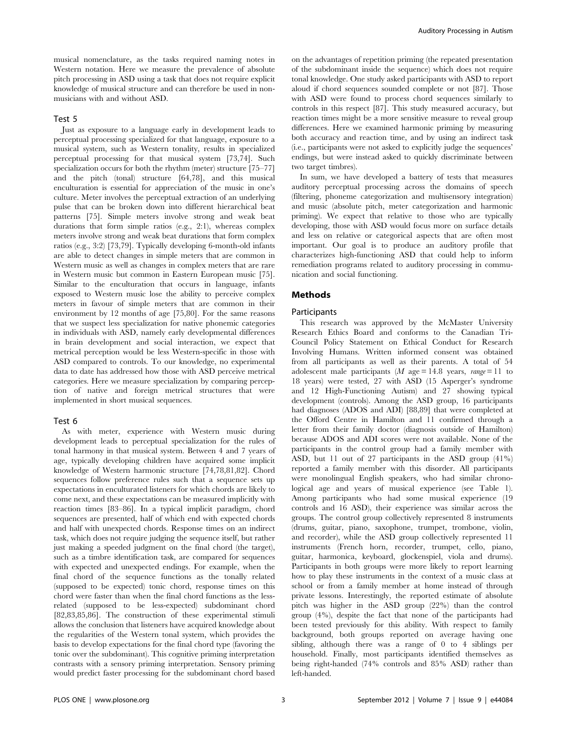musical nomenclature, as the tasks required naming notes in Western notation. Here we measure the prevalence of absolute pitch processing in ASD using a task that does not require explicit knowledge of musical structure and can therefore be used in nonmusicians with and without ASD.

#### Test 5

Just as exposure to a language early in development leads to perceptual processing specialized for that language, exposure to a musical system, such as Western tonality, results in specialized perceptual processing for that musical system [73,74]. Such specialization occurs for both the rhythm (meter) structure [75–77] and the pitch (tonal) structure [64,78], and this musical enculturation is essential for appreciation of the music in one's culture. Meter involves the perceptual extraction of an underlying pulse that can be broken down into different hierarchical beat patterns [75]. Simple meters involve strong and weak beat durations that form simple ratios (e.g., 2:1), whereas complex meters involve strong and weak beat durations that form complex ratios (e.g., 3:2) [73,79]. Typically developing 6-month-old infants are able to detect changes in simple meters that are common in Western music as well as changes in complex meters that are rare in Western music but common in Eastern European music [75]. Similar to the enculturation that occurs in language, infants exposed to Western music lose the ability to perceive complex meters in favour of simple meters that are common in their environment by 12 months of age [75,80]. For the same reasons that we suspect less specialization for native phonemic categories in individuals with ASD, namely early developmental differences in brain development and social interaction, we expect that metrical perception would be less Western-specific in those with ASD compared to controls. To our knowledge, no experimental data to date has addressed how those with ASD perceive metrical categories. Here we measure specialization by comparing perception of native and foreign metrical structures that were implemented in short musical sequences.

#### Test 6

As with meter, experience with Western music during development leads to perceptual specialization for the rules of tonal harmony in that musical system. Between 4 and 7 years of age, typically developing children have acquired some implicit knowledge of Western harmonic structure [74,78,81,82]. Chord sequences follow preference rules such that a sequence sets up expectations in enculturated listeners for which chords are likely to come next, and these expectations can be measured implicitly with reaction times [83–86]. In a typical implicit paradigm, chord sequences are presented, half of which end with expected chords and half with unexpected chords. Response times on an indirect task, which does not require judging the sequence itself, but rather just making a speeded judgment on the final chord (the target), such as a timbre identification task, are compared for sequences with expected and unexpected endings. For example, when the final chord of the sequence functions as the tonally related (supposed to be expected) tonic chord, response times on this chord were faster than when the final chord functions as the lessrelated (supposed to be less-expected) subdominant chord [82,83,85,86]. The construction of these experimental stimuli allows the conclusion that listeners have acquired knowledge about the regularities of the Western tonal system, which provides the basis to develop expectations for the final chord type (favoring the tonic over the subdominant). This cognitive priming interpretation contrasts with a sensory priming interpretation. Sensory priming would predict faster processing for the subdominant chord based on the advantages of repetition priming (the repeated presentation of the subdominant inside the sequence) which does not require tonal knowledge. One study asked participants with ASD to report aloud if chord sequences sounded complete or not [87]. Those with ASD were found to process chord sequences similarly to controls in this respect [87]. This study measured accuracy, but reaction times might be a more sensitive measure to reveal group differences. Here we examined harmonic priming by measuring both accuracy and reaction time, and by using an indirect task (i.e., participants were not asked to explicitly judge the sequences' endings, but were instead asked to quickly discriminate between two target timbres).

In sum, we have developed a battery of tests that measures auditory perceptual processing across the domains of speech (filtering, phoneme categorization and multisensory integration) and music (absolute pitch, meter categorization and harmonic priming). We expect that relative to those who are typically developing, those with ASD would focus more on surface details and less on relative or categorical aspects that are often most important. Our goal is to produce an auditory profile that characterizes high-functioning ASD that could help to inform remediation programs related to auditory processing in communication and social functioning.

## Methods

## Participants

This research was approved by the McMaster University Research Ethics Board and conforms to the Canadian Tri-Council Policy Statement on Ethical Conduct for Research Involving Humans. Written informed consent was obtained from all participants as well as their parents. A total of 54 adolescent male participants (*M* age = 14.8 years,  $range = 11$  to 18 years) were tested, 27 with ASD (15 Asperger's syndrome and 12 High-Functioning Autism) and 27 showing typical development (controls). Among the ASD group, 16 participants had diagnoses (ADOS and ADI) [88,89] that were completed at the Offord Centre in Hamilton and 11 confirmed through a letter from their family doctor (diagnosis outside of Hamilton) because ADOS and ADI scores were not available. None of the participants in the control group had a family member with ASD, but 11 out of 27 participants in the ASD group (41%) reported a family member with this disorder. All participants were monolingual English speakers, who had similar chronological age and years of musical experience (see Table 1). Among participants who had some musical experience (19 controls and 16 ASD), their experience was similar across the groups. The control group collectively represented 8 instruments (drums, guitar, piano, saxophone, trumpet, trombone, violin, and recorder), while the ASD group collectively represented 11 instruments (French horn, recorder, trumpet, cello, piano, guitar, harmonica, keyboard, glockenspiel, viola and drums). Participants in both groups were more likely to report learning how to play these instruments in the context of a music class at school or from a family member at home instead of through private lessons. Interestingly, the reported estimate of absolute pitch was higher in the ASD group (22%) than the control group (4%), despite the fact that none of the participants had been tested previously for this ability. With respect to family background, both groups reported on average having one sibling, although there was a range of 0 to 4 siblings per household. Finally, most participants identified themselves as being right-handed (74% controls and 85% ASD) rather than left-handed.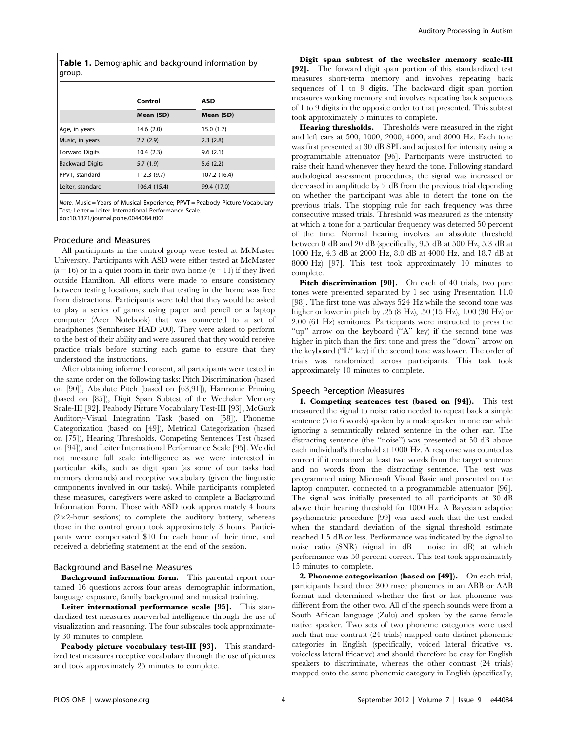Table 1. Demographic and background information by group.

|                        | Control      | ASD          |
|------------------------|--------------|--------------|
|                        | Mean (SD)    | Mean (SD)    |
| Age, in years          | 14.6 (2.0)   | 15.0(1.7)    |
| Music, in years        | 2.7(2.9)     | 2.3(2.8)     |
| <b>Forward Digits</b>  | 10.4(2.3)    | 9.6(2.1)     |
| <b>Backward Digits</b> | 5.7(1.9)     | 5.6(2.2)     |
| PPVT, standard         | 112.3 (9.7)  | 107.2 (16.4) |
| Leiter, standard       | 106.4 (15.4) | 99.4 (17.0)  |

Note. Music = Years of Musical Experience; PPVT = Peabody Picture Vocabulary Test; Leiter = Leiter International Performance Scale. doi:10.1371/journal.pone.0044084.t001

#### Procedure and Measures

All participants in the control group were tested at McMaster University. Participants with ASD were either tested at McMaster  $(n = 16)$  or in a quiet room in their own home  $(n = 11)$  if they lived outside Hamilton. All efforts were made to ensure consistency between testing locations, such that testing in the home was free from distractions. Participants were told that they would be asked to play a series of games using paper and pencil or a laptop computer (Acer Notebook) that was connected to a set of headphones (Sennheiser HAD 200). They were asked to perform to the best of their ability and were assured that they would receive practice trials before starting each game to ensure that they understood the instructions.

After obtaining informed consent, all participants were tested in the same order on the following tasks: Pitch Discrimination (based on [90]), Absolute Pitch (based on [63,91]), Harmonic Priming (based on [85]), Digit Span Subtest of the Wechsler Memory Scale-III [92], Peabody Picture Vocabulary Test-III [93], McGurk Auditory-Visual Integration Task (based on [58]), Phoneme Categorization (based on [49]), Metrical Categorization (based on [75]), Hearing Thresholds, Competing Sentences Test (based on [94]), and Leiter International Performance Scale [95]. We did not measure full scale intelligence as we were interested in particular skills, such as digit span (as some of our tasks had memory demands) and receptive vocabulary (given the linguistic components involved in our tasks). While participants completed these measures, caregivers were asked to complete a Background Information Form. Those with ASD took approximately 4 hours  $(2\times2$ -hour sessions) to complete the auditory battery, whereas those in the control group took approximately 3 hours. Participants were compensated \$10 for each hour of their time, and received a debriefing statement at the end of the session.

#### Background and Baseline Measures

Background information form. This parental report contained 16 questions across four areas: demographic information, language exposure, family background and musical training.

Leiter international performance scale [95]. This standardized test measures non-verbal intelligence through the use of visualization and reasoning. The four subscales took approximately 30 minutes to complete.

Peabody picture vocabulary test-III [93]. This standardized test measures receptive vocabulary through the use of pictures and took approximately 25 minutes to complete.

Digit span subtest of the wechsler memory scale-III [92]. The forward digit span portion of this standardized test measures short-term memory and involves repeating back sequences of 1 to 9 digits. The backward digit span portion measures working memory and involves repeating back sequences of 1 to 9 digits in the opposite order to that presented. This subtest took approximately 5 minutes to complete.

Hearing thresholds. Thresholds were measured in the right and left ears at 500, 1000, 2000, 4000, and 8000 Hz. Each tone was first presented at 30 dB SPL and adjusted for intensity using a programmable attenuator [96]. Participants were instructed to raise their hand whenever they heard the tone. Following standard audiological assessment procedures, the signal was increased or decreased in amplitude by 2 dB from the previous trial depending on whether the participant was able to detect the tone on the previous trials. The stopping rule for each frequency was three consecutive missed trials. Threshold was measured as the intensity at which a tone for a particular frequency was detected 50 percent of the time. Normal hearing involves an absolute threshold between 0 dB and 20 dB (specifically, 9.5 dB at 500 Hz, 5.3 dB at 1000 Hz, 4.3 dB at 2000 Hz, 8.0 dB at 4000 Hz, and 18.7 dB at 8000 Hz) [97]. This test took approximately 10 minutes to complete.

Pitch discrimination [90]. On each of 40 trials, two pure tones were presented separated by 1 sec using Presentation 11.0 [98]. The first tone was always 524 Hz while the second tone was higher or lower in pitch by .25 (8 Hz), .50 (15 Hz), 1.00 (30 Hz) or 2.00 (61 Hz) semitones. Participants were instructed to press the "up" arrow on the keyboard ("A" key) if the second tone was higher in pitch than the first tone and press the ''down'' arrow on the keyboard (''L'' key) if the second tone was lower. The order of trials was randomized across participants. This task took approximately 10 minutes to complete.

#### Speech Perception Measures

1. Competing sentences test (based on [94]). This test measured the signal to noise ratio needed to repeat back a simple sentence (5 to 6 words) spoken by a male speaker in one ear while ignoring a semantically related sentence in the other ear. The distracting sentence (the ''noise'') was presented at 50 dB above each individual's threshold at 1000 Hz. A response was counted as correct if it contained at least two words from the target sentence and no words from the distracting sentence. The test was programmed using Microsoft Visual Basic and presented on the laptop computer, connected to a programmable attenuator [96]. The signal was initially presented to all participants at 30 dB above their hearing threshold for 1000 Hz. A Bayesian adaptive psychometric procedure [99] was used such that the test ended when the standard deviation of the signal threshold estimate reached 1.5 dB or less. Performance was indicated by the signal to noise ratio (SNR) (signal in dB – noise in dB) at which performance was 50 percent correct. This test took approximately 15 minutes to complete.

2. Phoneme categorization (based on [49]). On each trial, participants heard three 300 msec phonemes in an ABB or AAB format and determined whether the first or last phoneme was different from the other two. All of the speech sounds were from a South African language (Zulu) and spoken by the same female native speaker. Two sets of two phoneme categories were used such that one contrast (24 trials) mapped onto distinct phonemic categories in English (specifically, voiced lateral fricative vs. voiceless lateral fricative) and should therefore be easy for English speakers to discriminate, whereas the other contrast (24 trials) mapped onto the same phonemic category in English (specifically,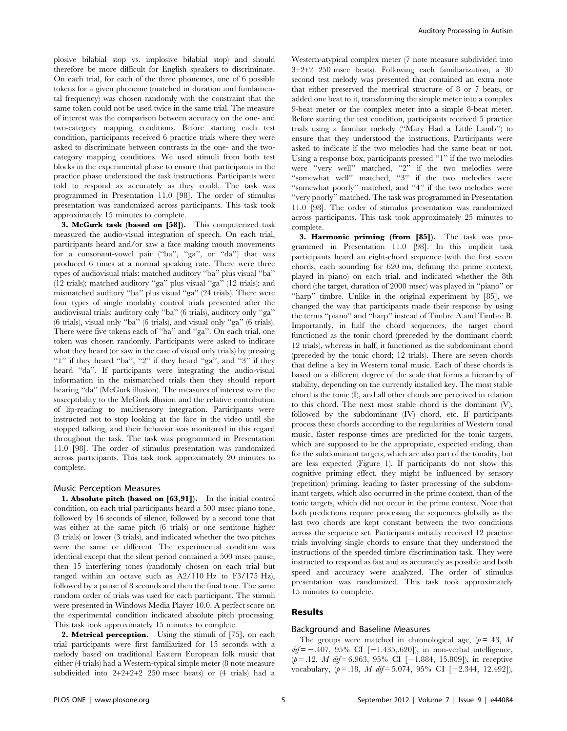plosive bilabial stop vs. implosive bilabial stop) and should therefore be more difficult for English speakers to discriminate. On each trial, for each of the three phonemes, one of 6 possible tokens for a given phoneme (matched in duration and fundamental frequency) was chosen randomly with the constraint that the same token could not be used twice in the same trial. The measure of interest was the comparison between accuracy on the one- and two-category mapping conditions. Before starting each test condition, participants received 6 practice trials where they were asked to discriminate between contrasts in the one- and the twocategory mapping conditions. We used stimuli from both test blocks in the experimental phase to ensure that participants in the practice phase understood the task instructions. Participants were told to respond as accurately as they could. The task was programmed in Presentation 11.0 [98]. The order of stimulus presentation was randomized across participants. This task took approximately 15 minutes to complete.

3. McGurk task (based on [58]). This computerized task measured the audio-visual integration of speech. On each trial, participants heard and/or saw a face making mouth movements for a consonant-vowel pair ("ba", "ga", or "da") that was produced 6 times at a normal speaking rate. There were three types of audiovisual trials: matched auditory ''ba'' plus visual ''ba'' (12 trials); matched auditory ''ga'' plus visual ''ga'' (12 trials); and mismatched auditory ''ba'' plus visual ''ga'' (24 trials). There were four types of single modality control trials presented after the audiovisual trials: auditory only ''ba'' (6 trials), auditory only ''ga'' (6 trials), visual only ''ba'' (6 trials), and visual only ''ga'' (6 trials). There were five tokens each of ''ba'' and ''ga''. On each trial, one token was chosen randomly. Participants were asked to indicate what they heard (or saw in the case of visual only trials) by pressing "1" if they heard "ba", "2" if they heard "ga", and "3" if they heard ''da''. If participants were integrating the audio-visual information in the mismatched trials then they should report hearing ''da'' (McGurk illusion). The measures of interest were the susceptibility to the McGurk illusion and the relative contribution of lip-reading to multisensory integration. Participants were instructed not to stop looking at the face in the video until she stopped talking, and their behavior was monitored in this regard throughout the task. The task was programmed in Presentation 11.0 [98]. The order of stimulus presentation was randomized across participants. This task took approximately 20 minutes to complete.

# Music Perception Measures

1. Absolute pitch (based on [63,91]). In the initial control condition, on each trial participants heard a 500 msec piano tone, followed by 16 seconds of silence, followed by a second tone that was either at the same pitch (6 trials) or one semitone higher (3 trials) or lower (3 trials), and indicated whether the two pitches were the same or different. The experimental condition was identical except that the silent period contained a 500 msec pause, then 15 interfering tones (randomly chosen on each trial but ranged within an octave such as A2/110 Hz to F3/175 Hz), followed by a pause of 8 seconds and then the final tone. The same random order of trials was used for each participant. The stimuli were presented in Windows Media Player 10.0. A perfect score on the experimental condition indicated absolute pitch processing. This task took approximately 15 minutes to complete.

2. Metrical perception. Using the stimuli of [75], on each trial participants were first familiarized for 15 seconds with a melody based on traditional Eastern European folk music that either (4 trials) had a Western-typical simple meter (8 note measure subdivided into 2+2+2+2 250 msec beats) or (4 trials) had a

Western-atypical complex meter (7 note measure subdivided into 3+2+2 250 msec beats). Following each familiarization, a 30 second test melody was presented that contained an extra note that either preserved the metrical structure of 8 or 7 beats, or added one beat to it, transforming the simple meter into a complex 9-beat meter or the complex meter into a simple 8-beat meter. Before starting the test condition, participants received 5 practice trials using a familiar melody (''Mary Had a Little Lamb'') to ensure that they understood the instructions. Participants were asked to indicate if the two melodies had the same beat or not. Using a response box, participants pressed ''1'' if the two melodies were "very well" matched, "2" if the two melodies were ''somewhat well'' matched, ''3'' if the two melodies were ''somewhat poorly'' matched, and ''4'' if the two melodies were ''very poorly'' matched. The task was programmed in Presentation 11.0 [98]. The order of stimulus presentation was randomized across participants. This task took approximately 25 minutes to complete.

3. Harmonic priming (from [85]). The task was programmed in Presentation 11.0 [98]. In this implicit task participants heard an eight-chord sequence (with the first seven chords, each sounding for 620 ms, defining the prime context, played in piano) on each trial, and indicated whether the 8th chord (the target, duration of 2000 msec) was played in ''piano'' or ''harp'' timbre. Unlike in the original experiment by [85], we changed the way that participants made their response by using the terms ''piano'' and ''harp'' instead of Timbre A and Timbre B. Importantly, in half the chord sequences, the target chord functioned as the tonic chord (preceded by the dominant chord; 12 trials), whereas in half, it functioned as the subdominant chord (preceded by the tonic chord; 12 trials). There are seven chords that define a key in Western tonal music. Each of these chords is based on a different degree of the scale that forms a hierarchy of stability, depending on the currently installed key. The most stable chord is the tonic (I), and all other chords are perceived in relation to this chord. The next most stable chord is the dominant (V), followed by the subdominant (IV) chord, etc. If participants process these chords according to the regularities of Western tonal music, faster response times are predicted for the tonic targets, which are supposed to be the appropriate, expected ending, than for the subdominant targets, which are also part of the tonality, but are less expected (Figure 1). If participants do not show this cognitive priming effect, they might be influenced by sensory (repetition) priming, leading to faster processing of the subdominant targets, which also occurred in the prime context, than of the tonic targets, which did not occur in the prime context. Note that both predictions require processing the sequences globally as the last two chords are kept constant between the two conditions across the sequence set. Participants initially received 12 practice trials involving single chords to ensure that they understood the instructions of the speeded timbre discrimination task. They were instructed to respond as fast and as accurately as possible and both speed and accuracy were analyzed. The order of stimulus presentation was randomized. This task took approximately 15 minutes to complete.

# Results

# Background and Baseline Measures

The groups were matched in chronological age,  $(p=.43, M)$  $df = -.407, 95\% \text{ CI} [-1.435, .620], \text{ in non-verbal intelligence},$  $(p= .12, M \text{ dif}= 6.963, 95\% \text{ CI} [-1.884, 15.809]),$  in receptive vocabulary,  $(p = .18, M \text{ dif} = 5.074, 95\% \text{ CI} [-2.344, 12.492]),$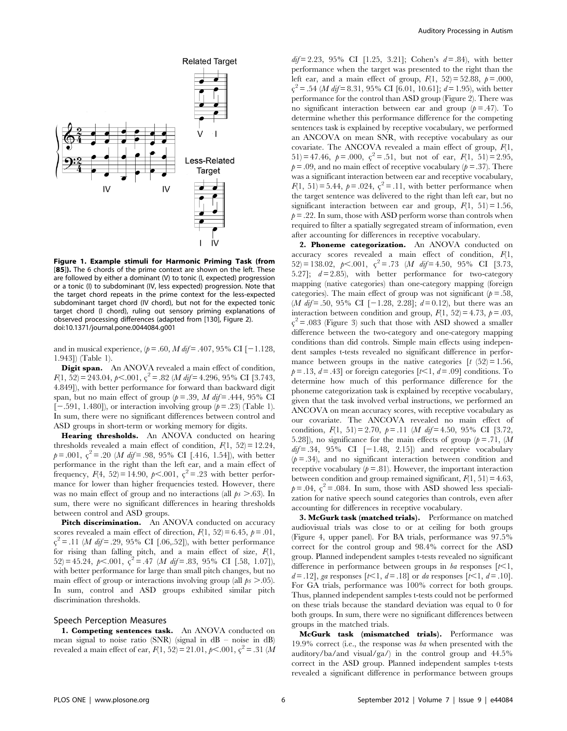

Figure 1. Example stimuli for Harmonic Priming Task (from [85]). The 6 chords of the prime context are shown on the left. These are followed by either a dominant (V) to tonic (I, expected) progression or a tonic (I) to subdominant (IV, less expected) progression. Note that the target chord repeats in the prime context for the less-expected subdominant target chord (IV chord), but not for the expected tonic target chord (I chord), ruling out sensory priming explanations of observed processing differences (adapted from [130], Figure 2). doi:10.1371/journal.pone.0044084.g001

and in musical experience,  $(p = .60, M \text{ dif} = .407, 95\% \text{ CI} [-1.128,$ 1.943]) (Table 1).

Digit span. An ANOVA revealed a main effect of condition,  $F(1, 52) = 243.04, p< .001, \, \varsigma^2 = .82 \, (M \, df = 4.296, 95\% \, \text{CI} \, [3.743,$ 4.849]), with better performance for forward than backward digit span, but no main effect of group ( $p = .39$ , M dif = .444, 95% CI  $[-.591, 1.480]$ , or interaction involving group ( $p = .23$ ) (Table 1). In sum, there were no significant differences between control and ASD groups in short-term or working memory for digits.

Hearing thresholds. An ANOVA conducted on hearing thresholds revealed a main effect of condition,  $F(1, 52) = 12.24$ ,  $p = .001$ ,  $\varsigma^2 = .20$  (*M dif* = .98, 95% CI [.416, 1.54]), with better performance in the right than the left ear, and a main effect of frequency,  $F(4, 52) = 14.90$ ,  $p < .001$ ,  $q^2 = .23$  with better performance for lower than higher frequencies tested. However, there was no main effect of group and no interactions (all  $ps > .63$ ). In sum, there were no significant differences in hearing thresholds between control and ASD groups.

Pitch discrimination. An ANOVA conducted on accuracy scores revealed a main effect of direction,  $F(1, 52) = 6.45$ ,  $p = .01$ ,  $\varsigma^2 = .11$  (*M dif* = .29, 95% CI [.06,.52]), with better performance for rising than falling pitch, and a main effect of size,  $F(1, 1)$  $(52) = 45.24, p < .001, \; \varsigma^2 = .47 \; (M \; df = .83, 95\% \; CI \; [.58, 1.07]),$ with better performance for large than small pitch changes, but no main effect of group or interactions involving group (all  $ps > .05$ ). In sum, control and ASD groups exhibited similar pitch discrimination thresholds.

#### Speech Perception Measures

1. Competing sentences task. An ANOVA conducted on mean signal to noise ratio (SNR) (signal in  $dB$  – noise in  $dB$ ) revealed a main effect of ear,  $F(1, 52) = 21.01, p<.001, \, q^2 = .31$  (M  $df = 2.23$ , 95% CI [1.25, 3.21]; Cohen's  $d = .84$ ), with better performance when the target was presented to the right than the left ear, and a main effect of group,  $F(1, 52) = 52.88$ ,  $p = .000$ ,  $\varsigma^2$  = .54 (*M dif* = 8.31, 95% CI [6.01, 10.61];  $d = 1.95$ ), with better performance for the control than ASD group (Figure 2). There was no significant interaction between ear and group  $(p = .47)$ . To determine whether this performance difference for the competing sentences task is explained by receptive vocabulary, we performed an ANCOVA on mean SNR, with receptive vocabulary as our covariate. The ANCOVA revealed a main effect of group,  $F(1, 1)$ 51) = 47.46,  $p = .000$ ,  $\varsigma^2 = .51$ , but not of ear,  $F(1, 51) = 2.95$ ,  $p = .09$ , and no main effect of receptive vocabulary ( $p = .37$ ). There was a significant interaction between ear and receptive vocabulary,  $F(1, 51) = 5.44, p = .024, \varsigma^{2} = .11$ , with better performance when the target sentence was delivered to the right than left ear, but no significant interaction between ear and group,  $F(1, 51) = 1.56$ ,  $p = .22$ . In sum, those with ASD perform worse than controls when required to filter a spatially segregated stream of information, even after accounting for differences in receptive vocabulary.

2. Phoneme categorization. An ANOVA conducted on accuracy scores revealed a main effect of condition,  $F(1, 1)$  $(52) = 138.02$ ,  $p < .001$ ,  $q^2 = .73$  (*M dif* = 4.50, 95% CI [3.73, 5.27];  $d = 2.85$ ), with better performance for two-category mapping (native categories) than one-category mapping (foreign categories). The main effect of group was not significant ( $p = .58$ , (*M dif* = .50, 95% CI  $[-1.28, 2.28]$ ;  $d= 0.12$ ), but there was an interaction between condition and group,  $F(1, 52) = 4.73$ ,  $p = .03$ ,  $\varsigma^2$  = .083 (Figure 3) such that those with ASD showed a smaller difference between the two-category and one-category mapping conditions than did controls. Simple main effects using independent samples t-tests revealed no significant difference in performance between groups in the native categories  $\lceil t \rceil (52) = 1.56$ ,  $p=$ .13,  $d=$ .43] or foreign categories  $[t<1, d=$ .09] conditions. To determine how much of this performance difference for the phoneme categorization task is explained by receptive vocabulary, given that the task involved verbal instructions, we performed an ANCOVA on mean accuracy scores, with receptive vocabulary as our covariate. The ANCOVA revealed no main effect of condition,  $F(1, 51) = 2.70$ ,  $p = .11$  (*M dif* = 4.50, 95% CI [3.72, 5.28]), no significance for the main effects of group  $(p = .71, M$  $dif = .34$ , 95% CI  $[-1.48, 2.15]$  and receptive vocabulary  $(p = .34)$ , and no significant interaction between condition and receptive vocabulary  $(p = .81)$ . However, the important interaction between condition and group remained significant,  $F(1, 51) = 4.63$ ,  $p = .04$ ,  $\varsigma^2 = .084$ . In sum, those with ASD showed less specialization for native speech sound categories than controls, even after accounting for differences in receptive vocabulary.

3. McGurk task (matched trials). Performance on matched audiovisual trials was close to or at ceiling for both groups (Figure 4, upper panel). For BA trials, performance was 97.5% correct for the control group and 98.4% correct for the ASD group. Planned independent samples t-tests revealed no significant difference in performance between groups in ba responses  $[t<1]$ ,  $d=$ .12], ga responses [ $t<1$ ,  $d=$ .18] or da responses [ $t<1$ ,  $d=$ .10]. For GA trials, performance was 100% correct for both groups. Thus, planned independent samples t-tests could not be performed on these trials because the standard deviation was equal to 0 for both groups. In sum, there were no significant differences between groups in the matched trials.

McGurk task (mismatched trials). Performance was 19.9% correct (i.e., the response was ba when presented with the auditory/ba/and visual/ga/) in the control group and 44.5% correct in the ASD group. Planned independent samples t-tests revealed a significant difference in performance between groups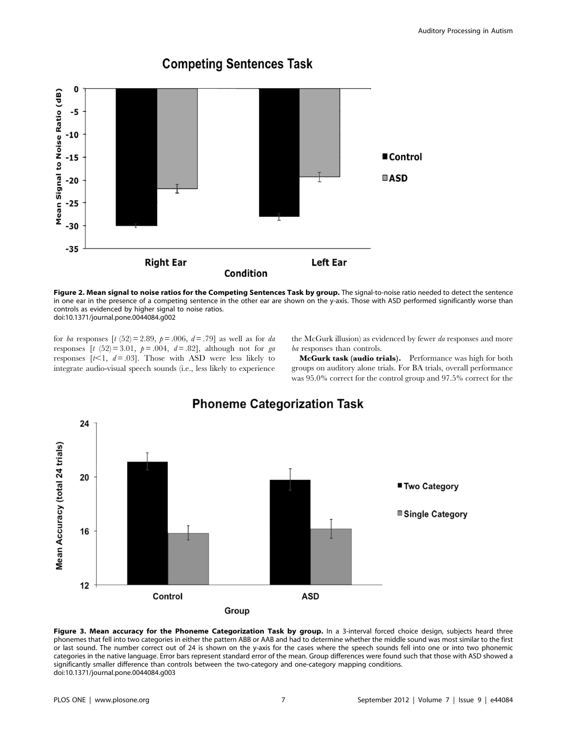

# **Competing Sentences Task**



for *ba* responses  $[t (52) = 2.89, p = .006, d = .79]$  as well as for *da* responses  $[t (52) = 3.01, p = .004, d = .82]$ , although not for ga responses  $[t<1, d = .03]$ . Those with ASD were less likely to integrate audio-visual speech sounds (i.e., less likely to experience the McGurk illusion) as evidenced by fewer da responses and more ba responses than controls.

McGurk task (audio trials). Performance was high for both groups on auditory alone trials. For BA trials, overall performance was 95.0% correct for the control group and 97.5% correct for the



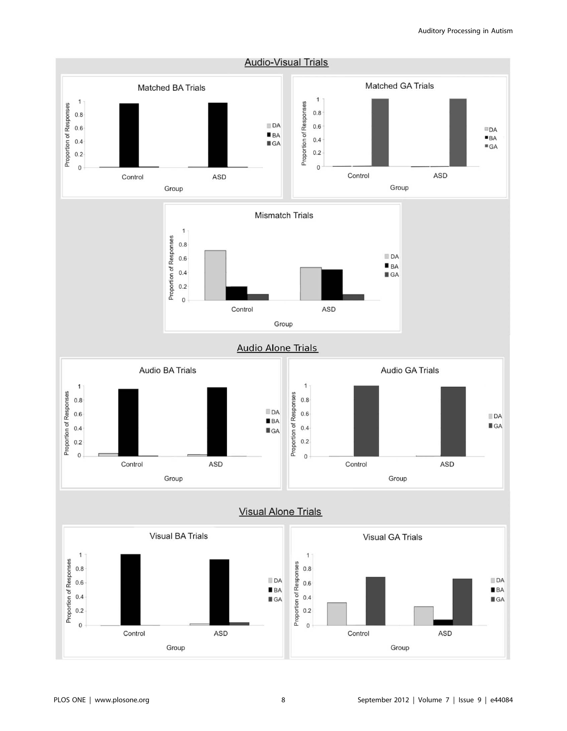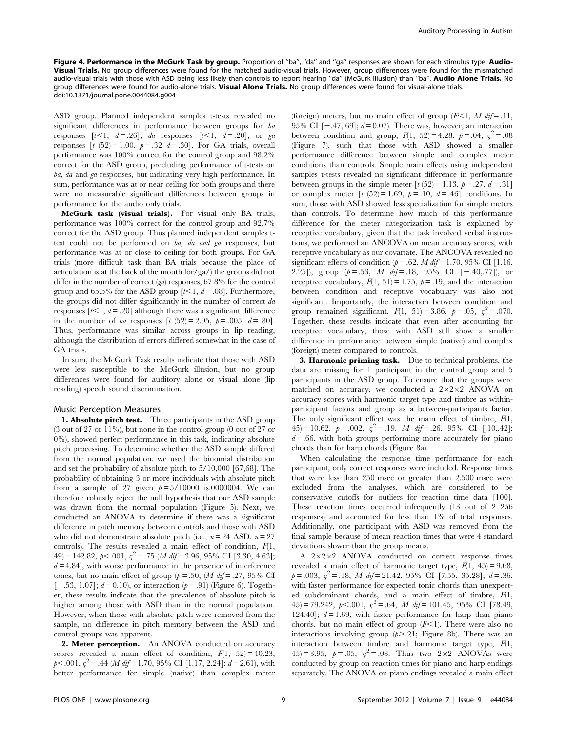Figure 4. Performance in the McGurk Task by group. Proportion of "ba", "da" and "ga" responses are shown for each stimulus type. Audio-Visual Trials. No group differences were found for the matched audio-visual trials. However, group differences were found for the mismatched audio-visual trials with those with ASD being less likely than controls to report hearing "da" (McGurk illusion) than "ba". Audio Alone Trials. No group differences were found for audio-alone trials. Visual Alone Trials. No group differences were found for visual-alone trials. doi:10.1371/journal.pone.0044084.g004

ASD group. Planned independent samples t-tests revealed no significant differences in performance between groups for ba responses  $[t<1, d = .26]$ , da responses  $[t<1, d = .20]$ , or ga responses  $[t (52)=1.00, p=.32 d=.30]$ . For GA trials, overall performance was 100% correct for the control group and 98.2% correct for the ASD group, precluding performance of t-tests on ba, da and ga responses, but indicating very high performance. In sum, performance was at or near ceiling for both groups and there were no measurable significant differences between groups in performance for the audio only trials.

McGurk task (visual trials). For visual only BA trials, performance was 100% correct for the control group and 92.7% correct for the ASD group. Thus planned independent samples ttest could not be performed on ba, da and ga responses, but performance was at or close to ceiling for both groups. For GA trials (more difficult task than BA trials because the place of articulation is at the back of the mouth for/ga/) the groups did not differ in the number of correct (ga) responses, 67.8% for the control group and 65.5% for the ASD group  $[t<1, d=.08]$ . Furthermore, the groups did not differ significantly in the number of correct da responses  $[t<1, d = .20]$  although there was a significant difference in the number of *ba* responses  $[t (52) = 2.95, p = .005, d = .80]$ . Thus, performance was similar across groups in lip reading, although the distribution of errors differed somewhat in the case of GA trials.

In sum, the McGurk Task results indicate that those with ASD were less susceptible to the McGurk illusion, but no group differences were found for auditory alone or visual alone (lip reading) speech sound discrimination.

# Music Perception Measures

**1. Absolute pitch test.** Three participants in the ASD group (3 out of 27 or 11%), but none in the control group (0 out of 27 or 0%), showed perfect performance in this task, indicating absolute pitch processing. To determine whether the ASD sample differed from the normal population, we used the binomial distribution and set the probability of absolute pitch to 5/10,000 [67,68]. The probability of obtaining 3 or more individuals with absolute pitch from a sample of 27 given  $p = 5/10000$  is.0000004. We can therefore robustly reject the null hypothesis that our ASD sample was drawn from the normal population (Figure 5). Next, we conducted an ANOVA to determine if there was a significant difference in pitch memory between controls and those with ASD who did not demonstrate absolute pitch (i.e.,  $n = 24$  ASD,  $n = 27$ controls). The results revealed a main effect of condition,  $F(1, 1)$  $(49) = 142.82, p < .001, \; \varsigma^2 = .75 \; (M \; df = 3.96, 95\% \; CI \; [3.30, 4.63];$  $d = 4.84$ ), with worse performance in the presence of interference tones, but no main effect of group ( $p = .50$ , (*M dif* = .27, 95% CI  $[-.53, 1.07]$ ;  $d = 0.10$ ), or interaction ( $p = .91$ ) (Figure 6). Together, these results indicate that the prevalence of absolute pitch is higher among those with ASD than in the normal population. However, when those with absolute pitch were removed from the sample, no difference in pitch memory between the ASD and control groups was apparent.

2. Meter perception. An ANOVA conducted on accuracy scores revealed a main effect of condition,  $F(1, 52) = 40.23$ ,  $p<.001$ ,  $\varsigma^2$  = .44 (*M dif* = 1.70, 95% CI [1.17, 2.24];  $d$  = 2.61), with better performance for simple (native) than complex meter

(foreign) meters, but no main effect of group  $(F<1, M \text{ dif} = .11,$ 95% CI  $[-.47, .69]$ ;  $d = 0.07$ ). There was, however, an interaction between condition and group,  $F(1, 52) = 4.28, p = .04, \; \varsigma^2 = .08$ (Figure 7), such that those with ASD showed a smaller performance difference between simple and complex meter conditions than controls. Simple main effects using independent samples t-tests revealed no significant difference in performance between groups in the simple meter  $\lceil t (52) = 1.13, p = .27, d = .31 \rceil$ or complex meter  $[t (52) = 1.69, p = .10, d = .46]$  conditions. In sum, those with ASD showed less specialization for simple meters than controls. To determine how much of this performance difference for the meter categorization task is explained by receptive vocabulary, given that the task involved verbal instructions, we performed an ANCOVA on mean accuracy scores, with receptive vocabulary as our covariate. The ANCOVA revealed no significant effects of condition ( $p = .62$ , M dif= 1.70, 95% CI [1.16, 2.25]), group  $(p = .53, M \text{ dif} = .18, 95\% \text{ CI} [-.40, .77])$ , or receptive vocabulary,  $F(1, 51) = 1.75$ ,  $p = .19$ , and the interaction between condition and receptive vocabulary was also not significant. Importantly, the interaction between condition and group remained significant,  $F(1, 51) = 3.86, p = .05, \varsigma^2 = .070$ . Together, these results indicate that even after accounting for receptive vocabulary, those with ASD still show a smaller difference in performance between simple (native) and complex (foreign) meter compared to controls.

3. Harmonic priming task. Due to technical problems, the data are missing for 1 participant in the control group and 5 participants in the ASD group. To ensure that the groups were matched on accuracy, we conducted a  $2\times2\times2$  ANOVA on accuracy scores with harmonic target type and timbre as withinparticipant factors and group as a between-participants factor. The only significant effect was the main effect of timbre,  $F(1, 1)$  $(45) = 10.62$ ,  $p = .002$ ,  $q^2 = .19$ , M dif = .26, 95% CI [.10,.42];  $d = .66$ , with both groups performing more accurately for piano chords than for harp chords (Figure 8a).

When calculating the response time performance for each participant, only correct responses were included. Response times that were less than 250 msec or greater than 2,500 msec were excluded from the analyses, which are considered to be conservative cutoffs for outliers for reaction time data [100]. These reaction times occurred infrequently (13 out of 2 256 responses) and accounted for less than 1% of total responses. Additionally, one participant with ASD was removed from the final sample because of mean reaction times that were 4 standard deviations slower than the group means.

A  $2\times2\times2$  ANOVA conducted on correct response times revealed a main effect of harmonic target type,  $F(1, 45) = 9.68$ ,  $p = .003$ ,  $\varsigma^2 = .18$ , M dif = 21.42, 95% CI [7.55, 35.28];  $d = .36$ , with faster performance for expected tonic chords than unexpected subdominant chords, and a main effect of timbre,  $F(1, 1)$  $(45) = 79.242$ ,  $p < .001$ ,  $\varsigma^2 = .64$ , M dif = 101.45, 95% CI [78.49, 124.40];  $d = 1.69$ , with faster performance for harp than piano chords, but no main effect of group  $(F<1)$ . There were also no interactions involving group  $(p > 0.21$ ; Figure 8b). There was an interaction between timbre and harmonic target type,  $F(1)$ ,  $(45) = 3.95, p = .05, \; \varsigma^2 = .08.$  Thus two  $2 \times 2$  ANOVAs were conducted by group on reaction times for piano and harp endings separately. The ANOVA on piano endings revealed a main effect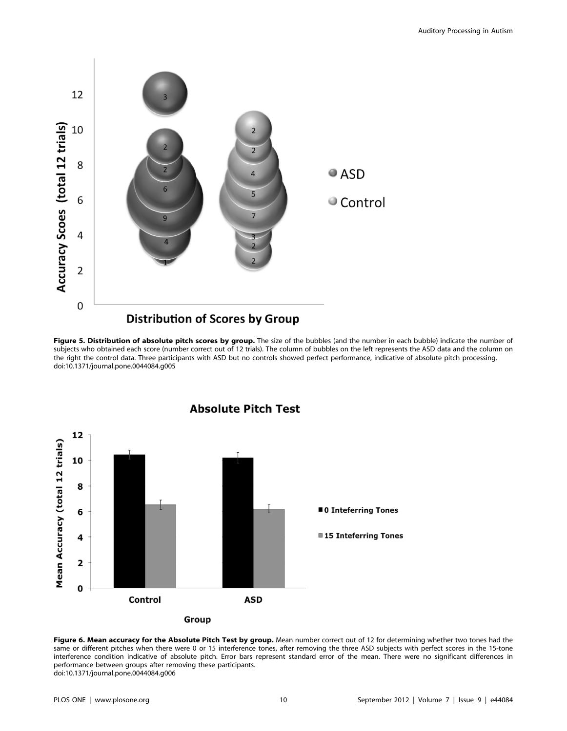

Figure 5. Distribution of absolute pitch scores by group. The size of the bubbles (and the number in each bubble) indicate the number of subjects who obtained each score (number correct out of 12 trials). The column of bubbles on the left represents the ASD data and the column on the right the control data. Three participants with ASD but no controls showed perfect performance, indicative of absolute pitch processing. doi:10.1371/journal.pone.0044084.g005



Figure 6. Mean accuracy for the Absolute Pitch Test by group. Mean number correct out of 12 for determining whether two tones had the same or different pitches when there were 0 or 15 interference tones, after removing the three ASD subjects with perfect scores in the 15-tone interference condition indicative of absolute pitch. Error bars represent standard error of the mean. There were no significant differences in performance between groups after removing these participants. doi:10.1371/journal.pone.0044084.g006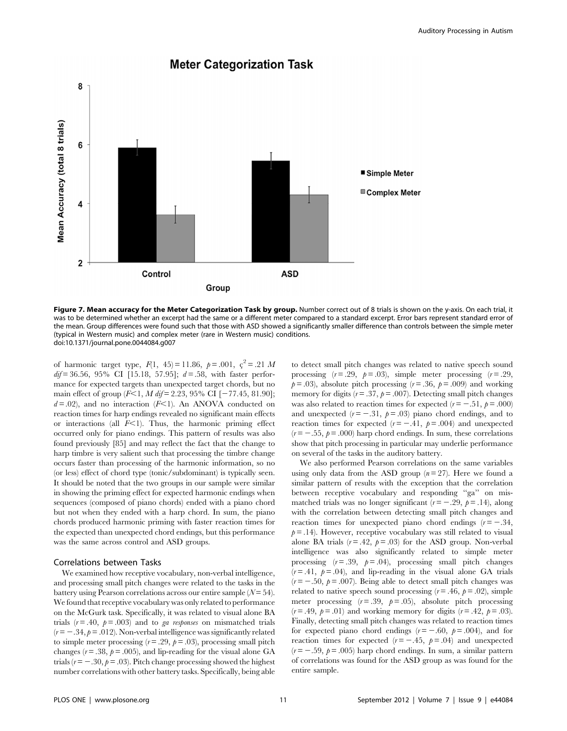

Figure 7. Mean accuracy for the Meter Categorization Task by group. Number correct out of 8 trials is shown on the y-axis. On each trial, it was to be determined whether an excerpt had the same or a different meter compared to a standard excerpt. Error bars represent standard error of the mean. Group differences were found such that those with ASD showed a significantly smaller difference than controls between the simple meter (typical in Western music) and complex meter (rare in Western music) conditions. doi:10.1371/journal.pone.0044084.g007

of harmonic target type,  $F(1, 45) = 11.86$ ,  $p = .001$ ,  $\varsigma^2 = .21$  M  $df = 36.56$ , 95% CI [15.18, 57.95];  $d = .58$ , with faster performance for expected targets than unexpected target chords, but no main effect of group  $(F<1, M \text{ dif}= 2.23, 95\% \text{ CI } [-77.45, 81.90];$  $d = .02$ ), and no interaction ( $F < 1$ ). An ANOVA conducted on reaction times for harp endings revealed no significant main effects or interactions (all  $F(1)$ ). Thus, the harmonic priming effect occurred only for piano endings. This pattern of results was also found previously [85] and may reflect the fact that the change to harp timbre is very salient such that processing the timbre change occurs faster than processing of the harmonic information, so no (or less) effect of chord type (tonic/subdominant) is typically seen. It should be noted that the two groups in our sample were similar in showing the priming effect for expected harmonic endings when sequences (composed of piano chords) ended with a piano chord but not when they ended with a harp chord. In sum, the piano chords produced harmonic priming with faster reaction times for the expected than unexpected chord endings, but this performance was the same across control and ASD groups.

#### Correlations between Tasks

We examined how receptive vocabulary, non-verbal intelligence, and processing small pitch changes were related to the tasks in the battery using Pearson correlations across our entire sample  $(N = 54)$ . We found that receptive vocabulary was only related to performance on the McGurk task. Specifically, it was related to visual alone BA trials ( $r = .40$ ,  $p = .003$ ) and to ga responses on mismatched trials  $(r = -.34, p = .012)$ . Non-verbal intelligence was significantly related to simple meter processing  $(r=.29, p=.03)$ , processing small pitch changes ( $r = .38$ ,  $p = .005$ ), and lip-reading for the visual alone GA trials ( $r = -0.30$ ,  $p = 0.03$ ). Pitch change processing showed the highest number correlations with other battery tasks. Specifically, being able to detect small pitch changes was related to native speech sound processing  $(r=.29, p=.03)$ , simple meter processing  $(r=.29, p=.03)$  $p=$  0.03), absolute pitch processing ( $r=$  .36,  $p=$  0.09) and working memory for digits ( $r = .37$ ,  $p = .007$ ). Detecting small pitch changes was also related to reaction times for expected  $(r = -.51, p = .000)$ and unexpected  $(r=-.31, p=.03)$  piano chord endings, and to reaction times for expected  $(r = -.41, p = .004)$  and unexpected  $(r = -.55, p = .000)$  harp chord endings. In sum, these correlations show that pitch processing in particular may underlie performance on several of the tasks in the auditory battery.

We also performed Pearson correlations on the same variables using only data from the ASD group  $(n=27)$ . Here we found a similar pattern of results with the exception that the correlation between receptive vocabulary and responding ''ga'' on mismatched trials was no longer significant ( $r = -.29$ ,  $p = .14$ ), along with the correlation between detecting small pitch changes and reaction times for unexpected piano chord endings  $(r = -.34, ...)$  $p = .14$ ). However, receptive vocabulary was still related to visual alone BA trials  $(r = .42, p = .03)$  for the ASD group. Non-verbal intelligence was also significantly related to simple meter processing  $(r=.39, p=.04)$ , processing small pitch changes  $(r = .41, p = .04)$ , and lip-reading in the visual alone GA trials  $(r = -.50, p = .007)$ . Being able to detect small pitch changes was related to native speech sound processing  $(r= .46, p=.02)$ , simple meter processing  $(r = .39, p = .05)$ , absolute pitch processing  $(r = .49, p = .01)$  and working memory for digits  $(r = .42, p = .03)$ . Finally, detecting small pitch changes was related to reaction times for expected piano chord endings  $(r=-.60, p=.004)$ , and for reaction times for expected  $(r = -.45, p = .04)$  and unexpected  $(r = -.59, p = .005)$  harp chord endings. In sum, a similar pattern of correlations was found for the ASD group as was found for the entire sample.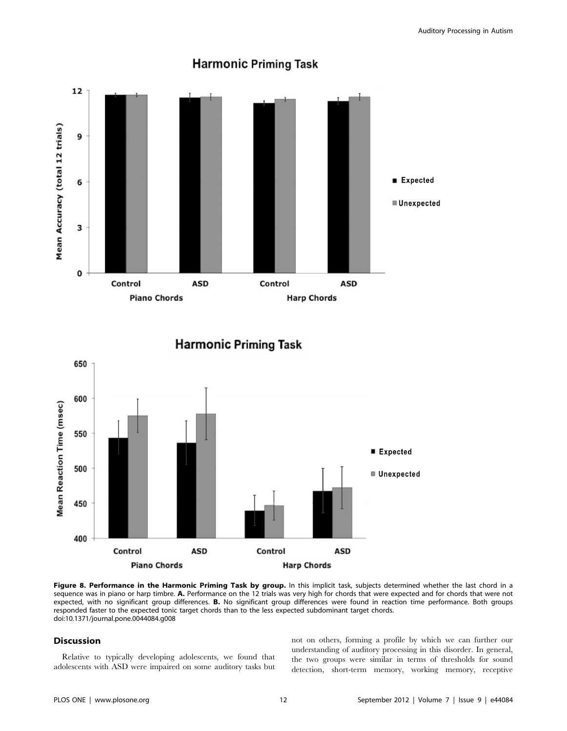

# **Harmonic Priming Task**

**Harmonic Priming Task** 



Figure 8. Performance in the Harmonic Priming Task by group. In this implicit task, subjects determined whether the last chord in a sequence was in piano or harp timbre. A. Performance on the 12 trials was very high for chords that were expected and for chords that were not expected, with no significant group differences. B. No significant group differences were found in reaction time performance. Both groups responded faster to the expected tonic target chords than to the less expected subdominant target chords. doi:10.1371/journal.pone.0044084.g008

# Discussion

Relative to typically developing adolescents, we found that adolescents with ASD were impaired on some auditory tasks but not on others, forming a profile by which we can further our understanding of auditory processing in this disorder. In general, the two groups were similar in terms of thresholds for sound detection, short-term memory, working memory, receptive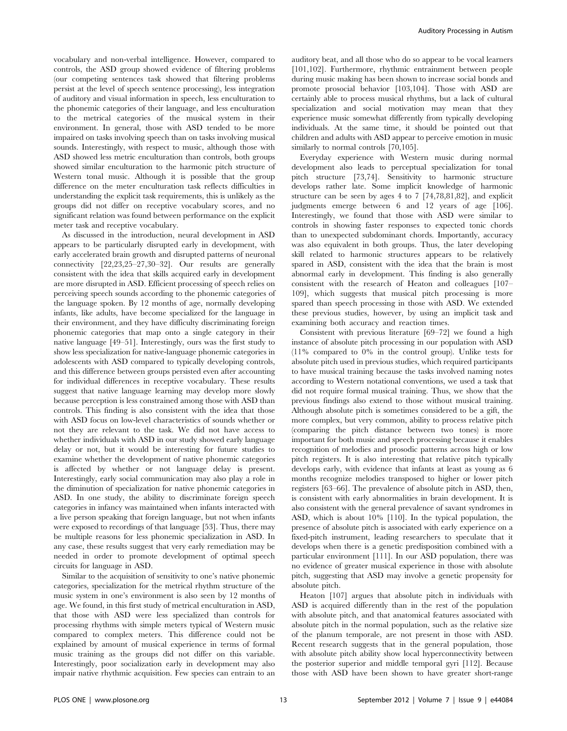vocabulary and non-verbal intelligence. However, compared to controls, the ASD group showed evidence of filtering problems (our competing sentences task showed that filtering problems persist at the level of speech sentence processing), less integration of auditory and visual information in speech, less enculturation to the phonemic categories of their language, and less enculturation to the metrical categories of the musical system in their environment. In general, those with ASD tended to be more impaired on tasks involving speech than on tasks involving musical sounds. Interestingly, with respect to music, although those with ASD showed less metric enculturation than controls, both groups showed similar enculturation to the harmonic pitch structure of Western tonal music. Although it is possible that the group difference on the meter enculturation task reflects difficulties in understanding the explicit task requirements, this is unlikely as the groups did not differ on receptive vocabulary scores, and no significant relation was found between performance on the explicit meter task and receptive vocabulary.

As discussed in the introduction, neural development in ASD appears to be particularly disrupted early in development, with early accelerated brain growth and disrupted patterns of neuronal connectivity [22,23,25–27,30–32]. Our results are generally consistent with the idea that skills acquired early in development are more disrupted in ASD. Efficient processing of speech relies on perceiving speech sounds according to the phonemic categories of the language spoken. By 12 months of age, normally developing infants, like adults, have become specialized for the language in their environment, and they have difficulty discriminating foreign phonemic categories that map onto a single category in their native language [49–51]. Interestingly, ours was the first study to show less specialization for native-language phonemic categories in adolescents with ASD compared to typically developing controls, and this difference between groups persisted even after accounting for individual differences in receptive vocabulary. These results suggest that native language learning may develop more slowly because perception is less constrained among those with ASD than controls. This finding is also consistent with the idea that those with ASD focus on low-level characteristics of sounds whether or not they are relevant to the task. We did not have access to whether individuals with ASD in our study showed early language delay or not, but it would be interesting for future studies to examine whether the development of native phonemic categories is affected by whether or not language delay is present. Interestingly, early social communication may also play a role in the diminution of specialization for native phonemic categories in ASD. In one study, the ability to discriminate foreign speech categories in infancy was maintained when infants interacted with a live person speaking that foreign language, but not when infants were exposed to recordings of that language [53]. Thus, there may be multiple reasons for less phonemic specialization in ASD. In any case, these results suggest that very early remediation may be needed in order to promote development of optimal speech circuits for language in ASD.

Similar to the acquisition of sensitivity to one's native phonemic categories, specialization for the metrical rhythm structure of the music system in one's environment is also seen by 12 months of age. We found, in this first study of metrical enculturation in ASD, that those with ASD were less specialized than controls for processing rhythms with simple meters typical of Western music compared to complex meters. This difference could not be explained by amount of musical experience in terms of formal music training as the groups did not differ on this variable. Interestingly, poor socialization early in development may also impair native rhythmic acquisition. Few species can entrain to an auditory beat, and all those who do so appear to be vocal learners [101,102]. Furthermore, rhythmic entrainment between people during music making has been shown to increase social bonds and promote prosocial behavior [103,104]. Those with ASD are certainly able to process musical rhythms, but a lack of cultural specialization and social motivation may mean that they experience music somewhat differently from typically developing individuals. At the same time, it should be pointed out that children and adults with ASD appear to perceive emotion in music similarly to normal controls [70,105].

Everyday experience with Western music during normal development also leads to perceptual specialization for tonal pitch structure [73,74]. Sensitivity to harmonic structure develops rather late. Some implicit knowledge of harmonic structure can be seen by ages 4 to 7 [74,78,81,82], and explicit judgments emerge between 6 and 12 years of age [106]. Interestingly, we found that those with ASD were similar to controls in showing faster responses to expected tonic chords than to unexpected subdominant chords. Importantly, accuracy was also equivalent in both groups. Thus, the later developing skill related to harmonic structures appears to be relatively spared in ASD, consistent with the idea that the brain is most abnormal early in development. This finding is also generally consistent with the research of Heaton and colleagues [107– 109], which suggests that musical pitch processing is more spared than speech processing in those with ASD. We extended these previous studies, however, by using an implicit task and examining both accuracy and reaction times.

Consistent with previous literature [69–72] we found a high instance of absolute pitch processing in our population with ASD (11% compared to 0% in the control group). Unlike tests for absolute pitch used in previous studies, which required participants to have musical training because the tasks involved naming notes according to Western notational conventions, we used a task that did not require formal musical training. Thus, we show that the previous findings also extend to those without musical training. Although absolute pitch is sometimes considered to be a gift, the more complex, but very common, ability to process relative pitch (comparing the pitch distance between two tones) is more important for both music and speech processing because it enables recognition of melodies and prosodic patterns across high or low pitch registers. It is also interesting that relative pitch typically develops early, with evidence that infants at least as young as 6 months recognize melodies transposed to higher or lower pitch registers [63–66]. The prevalence of absolute pitch in ASD, then, is consistent with early abnormalities in brain development. It is also consistent with the general prevalence of savant syndromes in ASD, which is about 10% [110]. In the typical population, the presence of absolute pitch is associated with early experience on a fixed-pitch instrument, leading researchers to speculate that it develops when there is a genetic predisposition combined with a particular environment [111]. In our ASD population, there was no evidence of greater musical experience in those with absolute pitch, suggesting that ASD may involve a genetic propensity for absolute pitch.

Heaton [107] argues that absolute pitch in individuals with ASD is acquired differently than in the rest of the population with absolute pitch, and that anatomical features associated with absolute pitch in the normal population, such as the relative size of the planum temporale, are not present in those with ASD. Recent research suggests that in the general population, those with absolute pitch ability show local hyperconnectivity between the posterior superior and middle temporal gyri [112]. Because those with ASD have been shown to have greater short-range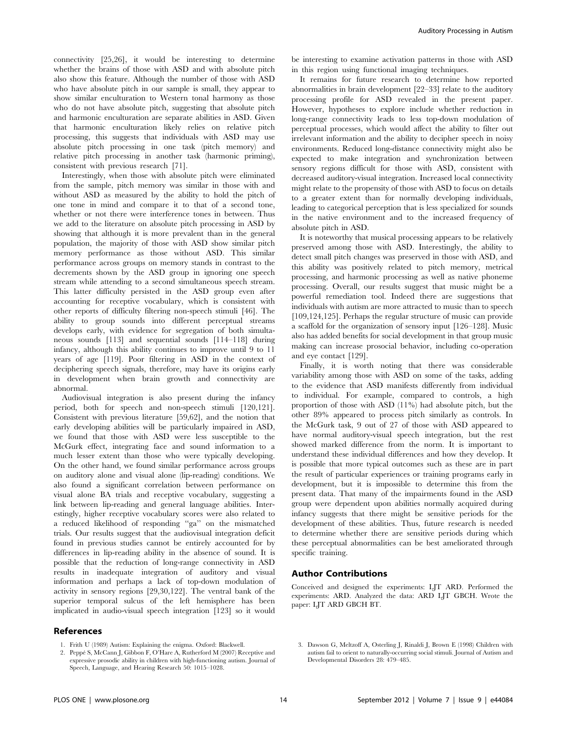connectivity [25,26], it would be interesting to determine whether the brains of those with ASD and with absolute pitch also show this feature. Although the number of those with ASD who have absolute pitch in our sample is small, they appear to show similar enculturation to Western tonal harmony as those who do not have absolute pitch, suggesting that absolute pitch and harmonic enculturation are separate abilities in ASD. Given that harmonic enculturation likely relies on relative pitch processing, this suggests that individuals with ASD may use absolute pitch processing in one task (pitch memory) and relative pitch processing in another task (harmonic priming), consistent with previous research [71].

Interestingly, when those with absolute pitch were eliminated from the sample, pitch memory was similar in those with and without ASD as measured by the ability to hold the pitch of one tone in mind and compare it to that of a second tone, whether or not there were interference tones in between. Thus we add to the literature on absolute pitch processing in ASD by showing that although it is more prevalent than in the general population, the majority of those with ASD show similar pitch memory performance as those without ASD. This similar performance across groups on memory stands in contrast to the decrements shown by the ASD group in ignoring one speech stream while attending to a second simultaneous speech stream. This latter difficulty persisted in the ASD group even after accounting for receptive vocabulary, which is consistent with other reports of difficulty filtering non-speech stimuli [46]. The ability to group sounds into different perceptual streams develops early, with evidence for segregation of both simultaneous sounds [113] and sequential sounds [114–118] during infancy, although this ability continues to improve until 9 to 11 years of age [119]. Poor filtering in ASD in the context of deciphering speech signals, therefore, may have its origins early in development when brain growth and connectivity are abnormal.

Audiovisual integration is also present during the infancy period, both for speech and non-speech stimuli [120,121]. Consistent with previous literature [59,62], and the notion that early developing abilities will be particularly impaired in ASD, we found that those with ASD were less susceptible to the McGurk effect, integrating face and sound information to a much lesser extent than those who were typically developing. On the other hand, we found similar performance across groups on auditory alone and visual alone (lip-reading) conditions. We also found a significant correlation between performance on visual alone BA trials and receptive vocabulary, suggesting a link between lip-reading and general language abilities. Interestingly, higher receptive vocabulary scores were also related to a reduced likelihood of responding ''ga'' on the mismatched trials. Our results suggest that the audiovisual integration deficit found in previous studies cannot be entirely accounted for by differences in lip-reading ability in the absence of sound. It is possible that the reduction of long-range connectivity in ASD results in inadequate integration of auditory and visual information and perhaps a lack of top-down modulation of activity in sensory regions [29,30,122]. The ventral bank of the superior temporal sulcus of the left hemisphere has been implicated in audio-visual speech integration [123] so it would

# References

- 1. Frith U (1989) Autism: Explaining the enigma. Oxford: Blackwell.
- 2. Peppe S, McCann J, Gibbon F, O'Hare A, Rutherford M (2007) Receptive and expressive prosodic ability in children with high-functioning autism. Journal of Speech, Language, and Hearing Research 50: 1015–1028.

be interesting to examine activation patterns in those with ASD in this region using functional imaging techniques.

It remains for future research to determine how reported abnormalities in brain development [22–33] relate to the auditory processing profile for ASD revealed in the present paper. However, hypotheses to explore include whether reduction in long-range connectivity leads to less top-down modulation of perceptual processes, which would affect the ability to filter out irrelevant information and the ability to decipher speech in noisy environments. Reduced long-distance connectivity might also be expected to make integration and synchronization between sensory regions difficult for those with ASD, consistent with decreased auditory-visual integration. Increased local connectivity might relate to the propensity of those with ASD to focus on details to a greater extent than for normally developing individuals, leading to categorical perception that is less specialized for sounds in the native environment and to the increased frequency of absolute pitch in ASD.

It is noteworthy that musical processing appears to be relatively preserved among those with ASD. Interestingly, the ability to detect small pitch changes was preserved in those with ASD, and this ability was positively related to pitch memory, metrical processing, and harmonic processing as well as native phoneme processing. Overall, our results suggest that music might be a powerful remediation tool. Indeed there are suggestions that individuals with autism are more attracted to music than to speech [109,124,125]. Perhaps the regular structure of music can provide a scaffold for the organization of sensory input [126–128]. Music also has added benefits for social development in that group music making can increase prosocial behavior, including co-operation and eye contact [129].

Finally, it is worth noting that there was considerable variability among those with ASD on some of the tasks, adding to the evidence that ASD manifests differently from individual to individual. For example, compared to controls, a high proportion of those with ASD (11%) had absolute pitch, but the other 89% appeared to process pitch similarly as controls. In the McGurk task, 9 out of 27 of those with ASD appeared to have normal auditory-visual speech integration, but the rest showed marked difference from the norm. It is important to understand these individual differences and how they develop. It is possible that more typical outcomes such as these are in part the result of particular experiences or training programs early in development, but it is impossible to determine this from the present data. That many of the impairments found in the ASD group were dependent upon abilities normally acquired during infancy suggests that there might be sensitive periods for the development of these abilities. Thus, future research is needed to determine whether there are sensitive periods during which these perceptual abnormalities can be best ameliorated through specific training.

# Author Contributions

Conceived and designed the experiments: LJT ARD. Performed the experiments: ARD. Analyzed the data: ARD LJT GBCH. Wrote the paper: LJT ARD GBCH BT.

3. Dawson G, Meltzoff A, Osterling J, Rinaldi J, Brown E (1998) Children with autism fail to orient to naturally-occurring social stimuli. Journal of Autism and Developmental Disorders 28: 479–485.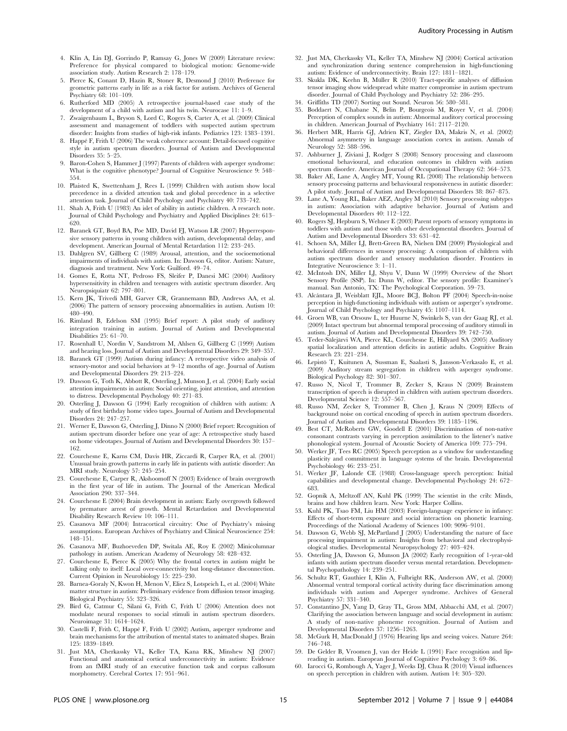- 4. Klin A, Lin DJ, Gorrindo P, Ramsay G, Jones W (2009) Literature review: Preference for physical compared to biological motion: Genome-wide association study. Autism Research 2: 178–179.
- 5. Pierce K, Conant D, Hazin R, Stoner R, Desmond J (2010) Preference for geometric patterns early in life as a risk factor for autism. Archives of General Psychiatry 68: 101–109.
- 6. Rutherford MD (2005) A retrospective journal-based case study of the development of a child with autism and his twin. Neurocase  $11:1-9$ .
- 7. Zwaigenbaum L, Bryson S, Lord C, Rogers S, Carter A, et al. (2009) Clinical assessment and management of toddlers with suspected autism spectrum disorder: Insights from studies of high-risk infants. Pediatrics 123: 1383–1391.
- 8. Happé F, Frith U (2006) The weak coherence account: Detail-focused cognitive style in autism spectrum disorders. Journal of Autism and Developmental Disorders 35: 5–25.
- 9. Baron-Cohen S, Hammer J (1997) Parents of children with asperger syndrome: What is the cognitive phenotype? Journal of Cognitive Neuroscience 9: 548– 554.
- 10. Plaisted K, Swettenham J, Rees L (1999) Children with autism show local precedence in a divided attention task and global precedence in a selective attention task. Journal of Child Psychology and Psychiatry 40: 733–742.
- 11. Shah A, Frith U (1983) An islet of ability in autistic children. A research note. Journal of Child Psychology and Psychiatry and Applied Disciplines 24: 613– 620.
- 12. Baranek GT, Boyd BA, Poe MD, David FJ, Watson LR (2007) Hyperresponsive sensory patterns in young children with autism, developmental delay, and development. American Journal of Mental Retardation 112: 233–245.
- 13. Dahlgren SV, Gillberg C (1989) Arousal, attention, and the socioemotional impairments of individuals with autism. In: Dawson G, editor. Autism: Nature, diagnosis and treatment. New York: Guilford. 49–74.
- 14. Gomes E, Rotta NT, Pedroso FS, Sleifer P, Danesi MC (2004) Auditory hypersensitivity in children and teenagers with autistic spectrum disorder. Arq Neuropsiquiatr 62: 797–801.
- 15. Kern JK, Trivedi MH, Garver CR, Grannemann BD, Andrews AA, et al. (2006) The pattern of sensory processing abnormalities in autism. Autism 10: 480–490.
- 16. Rimland B, Edelson SM (1995) Brief report: A pilot study of auditory integration training in autism. Journal of Autism and Developmental Disabilities 25: 61–70.
- 17. Rosenhall U, Nordin V, Sandstrom M, Ahlsen G, Gillberg C (1999) Autism and hearing loss. Journal of Autism and Developmental Disorders 29: 349–357.
- 18. Baranek GT (1999) Autism during infancy: A retrospective video analysis of sensory-motor and social behaviors at 9–12 months of age. Journal of Autism and Developmental Disorders 29: 213–224.
- 19. Dawson G, Toth K, Abbott R, Osterling J, Munson J, et al. (2004) Early social attention impairments in autism: Social orienting, joint attention, and attention to distress. Developmental Psychology 40: 271–83.
- 20. Osterling J, Dawson G (1994) Early recognition of children with autism: A study of first birthday home video tapes. Journal of Autism and Developmental Disorders 24: 247–257.
- 21. Werner E, Dawson G, Osterling J, Dinno N (2000) Brief report: Recognition of autism spectrum disorder before one year of age: A retrospective study based on home videotapes. Journal of Autism and Developmental Disorders 30: 157– 162.
- 22. Courchesne E, Karns CM, Davis HR, Ziccardi R, Carper RA, et al. (2001) Unusual brain growth patterns in early life in patients with autistic disorder: An MRI study. Neurology 57: 245–254.
- 23. Courchesne E, Carper R, Akshoomoff N (2003) Evidence of brain overgrowth in the first year of life in autism. The Journal of the American Medical Association 290: 337–344.
- 24. Courchesne E (2004) Brain development in autism: Early overgrowth followed by premature arrest of growth. Mental Retardation and Developmental Disability Research Review 10: 106–111.
- 25. Casanova MF (2004) Intracortical circuitry: One of Psychiatry's missing assumptions. European Archives of Psychiatry and Clinical Neuroscience 254: 148–151.
- 26. Casanova MF, Buzhoeveden DP, Switala AE, Roy E (2002) Minicolumnar pathology in autism. American Academy of Neurology 58: 428–432.
- 27. Courchesne E, Pierce K (2005) Why the frontal cortex in autism might be talking only to itself: Local over-connectivity but long-distance disconnection. Current Opinion in Neurobiology 15: 225–230.
- 28. Barnea-Goraly N, Kwon H, Menon V, Eliez S, Lotspeich L, et al. (2004) White matter structure in autism: Preliminary evidence from diffusion tensor imaging. Biological Psychiatry 55: 323–326.
- 29. Bird G, Catmur C, Silani G, Frith C, Frith U (2006) Attention does not modulate neural responses to social stimuli in autism spectrum disorders. Neuroimage 31: 1614–1624.
- 30. Castelli F, Frith C, Happé F, Frith U (2002) Autism, asperger syndrome and brain mechanisms for the attribution of mental states to animated shapes. Brain 125: 1839–1849.
- 31. Just MA, Cherkassky VL, Keller TA, Kana RK, Minshew NJ (2007) Functional and anatomical cortical underconnectivity in autism: Evidence from an fMRI study of an executive function task and corpus callosum morphometry. Cerebral Cortex 17: 951–961.
- 32. Just MA, Cherkassky VL, Keller TA, Minshew NJ (2004) Cortical activation and synchronization during sentence comprehension in high-functioning autism: Evidence of underconnectivity. Brain 127: 1811–1821.
- 33. Skukla DK, Keehn B, Müller R (2010) Tract-specific analyses of diffusion tensor imaging show widespread white matter compromise in autism spectrum disorder. Journal of Child Psychology and Psychiatry 52: 286–295.
- 34. Griffiths TD (2007) Sorting out Sound. Neuron 56: 580–581.
- 35. Boddaert N, Chabane N, Belin P, Bourgeois M, Royer V, et al. (2004) Perception of complex sounds in autism: Abnormal auditory cortical processing in children. American Journal of Psychiatry 161: 2117–2120.
- 36. Herbert MR, Harris GJ, Adrien KT, Ziegler DA, Makris N, et al. (2002) Abnormal asymmetry in language association cortex in autism. Annals of Neurology 52: 588–596.
- 37. Ashburner J, Ziviani J, Rodger S (2008) Sensory processing and classroom emotional behavioural, and education outcomes in children with autism spectrum disorder. American Journal of Occupational Therapy 62: 564–573.
- 38. Baker AE, Lane A, Angley MT, Young RL (2008) The relationship between sensory processing patterns and behavioural responsiveness in autistic disorder: A pilot study. Journal of Autism and Developmental Disorders 38: 867–875.
- 39. Lane A, Young RL, Baker AEZ, Angley M (2010) Sensory processing subtypes in autism: Association with adaptive behavior. Journal of Autism and Developmental Disorders 40: 112–122.
- 40. Rogers SJ, Hepburn S, Wehner E (2003) Parent reports of sensory symptoms in toddlers with autism and those with other developmental disorders. Journal of Autism and Developmental Disorders 33: 631–42.
- 41. Schoen SA, Miller LJ, Brett-Green BA, Nielsen DM (2009) Physiological and behavioral differences in sensory processing: A comparison of children with autism spectrum disorder and sensory modulation disorder. Frontiers in Integrative Neuroscience 3: 1–11.
- 42. McIntosh DN, Miller LJ, Shyu V, Dunn W (1999) Overview of the Short Sensory Profile (SSP). In: Dunn W, editor. The sensory profile: Examiner's manual. San Antonio, TX: The Psychological Corporation. 59–73.
- 43. Alcántara JI, Weisblatt EJL, Moore BCJ, Bolton PF (2004) Speech-in-noise perception in high-functioning individuals with autism or asperger's syndrome. Journal of Child Psychology and Psychiatry 45: 1107–1114.
- 44. Groen WB, van Orsouw L, ter Huurne N, Swinkels S, van der Gaag RJ, et al. (2009) Intact spectrum but abnormal temporal processing of auditory stimuli in autism. Journal of Autism and Developmental Disorders 39: 742–750.
- 45. Teder-Sälejärvi WA, Pierce KL, Courchesne E, Hillyard SA (2005) Auditory spatial localization and attention deficits in autistic adults. Cognitive Brain Research 23: 221–234.
- 46. Lepisto¨ T, Kuitunen A, Sussman E, Saalasti S, Jansson-Verkasalo E, et al. (2009) Auditory stream segregation in children with asperger syndrome. Biological Psychology 82: 301–307.
- 47. Russo N, Nicol T, Trommer B, Zecker S, Kraus N (2009) Brainstem transcription of speech is disrupted in children with autism spectrum disorders. Developmental Science 12: 557–567.
- 48. Russo NM, Zecker S, Trommer B, Chen J, Kraus N (2009) Effects of background noise on cortical encoding of speech in autism spectrum disorders. Journal of Autism and Developmental Disorders 39: 1185–1196.
- 49. Best CT, McRoberts GW, Goodell E (2001) Discrimination of non-native consonant contrasts varying in perception assimilation to the listener's native phonological system. Journal of Acoustic Society of America 109: 775–794.
- 50. Werker JF, Tees RC (2005) Speech perception as a window for understanding plasticity and commitment in language systems of the brain. Developmental Psychobiology 46: 233–251.
- 51. Werker JF, Lalonde CE (1988) Cross-language speech perception: Initial capabilities and developmental change. Developmental Psychology 24: 672– 683.
- 52. Gopnik A, Meltzoff AN, Kuhl PK (1999) The scientist in the crib: Minds, brains and how children learn. New York: Harper Collins.
- 53. Kuhl PK, Tsao FM, Liu HM (2003) Foreign-language experience in infancy: Effects of short-term exposure and social interaction on phonetic learning. Proceedings of the National Academy of Sciences 100: 9096–9101.
- 54. Dawson G, Webb SJ, McPartland J (2005) Understanding the nature of face processing impairment in autism: Insights from behavioral and electrophysiological studies. Developmental Neuropsychology 27: 403–424.
- 55. Osterling JA, Dawson G, Munson JA (2002) Early recognition of 1-year-old infants with autism spectrum disorder versus mental retardation. Developmental Psychopathology 14: 239–251.
- 56. Schultz RT, Gauthier I, Klin A, Fulbright RK, Anderson AW, et al. (2000) Abnormal ventral temporal cortical activity during face discrimination among individuals with autism and Asperger syndrome. Archives of General Psychiatry 57: 331–340.
- 57. Constantino JN, Yang D, Gray TL, Gross MM, Abbacchi AM, et al. (2007) Clarifying the association between language and social development in autism: A study of non-native phoneme recognition. Journal of Autism and Developmental Disorders 37: 1256–1263.
- 58. McGurk H, MacDonald J (1976) Hearing lips and seeing voices. Nature 264: 746–748.
- 59. De Gelder B, Vroomen J, van der Heide L (1991) Face recognition and lipreading in autism. European Journal of Cognitive Psychology 3: 69–86.
- 60. Iarocci G, Rombough A, Yager J, Weeks DJ, Chua R (2010) Visual influences on speech perception in children with autism. Autism 14: 305–320.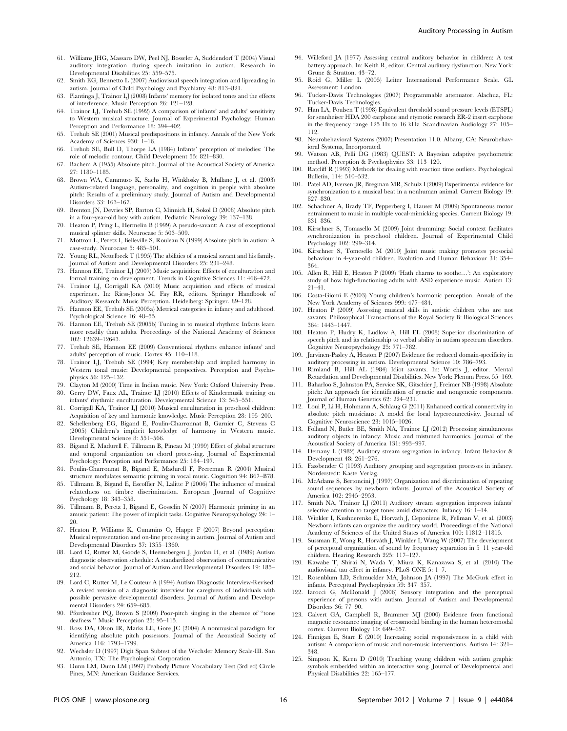- 61. Williams JHG, Massaro DW, Peel NJ, Bosseler A, Suddendorf T (2004) Visual auditory integration during speech imitation in autism. Research in Developmental Disabilities 25: 559–575.
- 62. Smith EG, Bennetto L (2007) Audiovisual speech integration and lipreading in autism. Journal of Child Psychology and Psychiatry 48: 813–821.
- 63. Plantinga J, Trainor LJ (2008) Infants' memory for isolated tones and the effects of interference. Music Perception 26: 121–128.
- 64. Trainor LJ, Trehub SE (1992) A comparison of infants' and adults' sensitivity to Western musical structure. Journal of Experimental Psychology: Human Perception and Performance 18: 394–402.
- 65. Trehub SE (2001) Musical predispositions in infancy. Annals of the New York Academy of Sciences 930: 1–16.
- 66. Trehub SE, Bull D, Thorpe LA (1984) Infants' perception of melodies: The role of melodic contour. Child Development 55: 821–830.
- 67. Bachem A (1955) Absolute pitch. Journal of the Acoustical Society of America 27: 1180–1185.
- 68. Brown WA, Cammuso K, Sachs H, Winklosky B, Mullane J, et al. (2003) Autism-related language, personality, and cognition in people with absolute pitch: Results of a preliminary study. Journal of Autism and Developmental Disorders 33: 163–167.
- 69. Brenton JN, Devries SP, Barton C, Minnich H, Sokol D (2008) Absolute pitch in a four-year-old boy with autism. Pediatric Neurology 39: 137–138.
- 70. Heaton P, Pring L, Hermelin B (1999) A pseudo-savant: A case of exceptional musical splinter skills. Neurocase 5: 503–509.
- 71. Mottron L, Peretz I, Belleville S, Rouleau N (1999) Absolute pitch in autism: A case-study. Neurocase 5: 485–501.
- 72. Young RL, Nettelbeck T (1995) The abilities of a musical savant and his family. Journal of Autism and Developmental Disorders 25: 231–248.
- 73. Hannon EE, Trainor LJ (2007) Music acquisition: Effects of enculturation and formal training on development. Trends in Cognitive Sciences 11: 466–472.
- 74. Trainor LJ, Corrigall KA (2010) Music acquisition and effects of musical experience. In: Riess-Jones M, Fay RR, editors. Springer Handbook of Auditory Research: Music Perception. Heidelberg: Springer. 89–128.
- 75. Hannon EE, Trehub SE (2005a) Metrical categories in infancy and adulthood. Psychological Science 16: 48–55.
- 76. Hannon EE, Trehub SE (2005b) Tuning in to musical rhythms: Infants learn more readily than adults. Proceedings of the National Academy of Sciences 102: 12639–12643.
- 77. Trehub SE, Hannon EE (2009) Conventional rhythms enhance infants' and adults' perception of music. Cortex 45: 110–118.
- 78. Trainor LJ, Trehub SE (1994) Key membership and implied harmony in Western tonal music: Developmental perspectives. Perception and Psychophysics 56: 125–132.
- 79. Clayton M (2000) Time in Indian music. New York: Oxford University Press.
- 80. Gerry DW, Faux AL, Trainor LJ (2010) Effects of Kindermusik training on infants' rhythmic enculturation. Developmental Science 13: 545–551.
- 81. Corrigall KA, Trainor LJ (2010) Musical enculturation in preschool children: Acquisition of key and harmonic knowledge. Music Perception 28: 195–200.
- 82. Schellenberg EG, Bigand E, Poulin-Charronnat B, Garnier C, Stevens C (2005) Children's implicit knowledge of harmony in Western music. Developmental Science 8: 551–566.
- 83. Bigand E, Madurell F, Tillmann B, Pineau M (1999) Effect of global structure and temporal organization on chord processing. Journal of Experimental Psychology: Perception and Performance 25: 184–197.
- 84. Poulin-Charronnat B, Bigand E, Madurell F, Peereman R (2004) Musical structure modulates semantic priming in vocal music. Cognition 94: B67–B78.
- 85. Tillmann B, Bigand E, Escoffier N, Lalitte P (2006) The influence of musical relatedness on timbre discrimination. European Journal of Cognitive Psychology 18: 343–358.
- 86. Tillmann B, Peretz I, Bigand E, Gosselin N (2007) Harmonic priming in an amusic patient: The power of implicit tasks. Cognitive Neuropsychology 24: 1– 20.
- 87. Heaton P, Williams K, Cummins O, Happe F (2007) Beyond perception: Musical representation and on-line processing in autism. Journal of Autism and Developmental Disorders 37: 1355–1360.
- 88. Lord C, Rutter M, Goode S, Heemsbergen J, Jordan H, et al. (1989) Autism diagnostic observation schedule: A standardized observation of communicative and social behavior. Journal of Autism and Developmental Disorders 19: 185– 212.
- 89. Lord C, Rutter M, Le Couteur A (1994) Autism Diagnostic Interview-Revised: A revised version of a diagnostic interview for caregivers of individuals with possible pervasive developmental disorders. Journal of Autism and Developmental Disorders 24: 659–685.
- 90. Pfordresher PQ, Brown S (2009) Poor-pitch singing in the absence of ''tone deafness.'' Music Perception 25: 95–115.
- 91. Ross DA, Olson IR, Marks LE, Gore JC (2004) A nonmusical paradigm for identifying absolute pitch possessors. Journal of the Acoustical Society of America 116: 1793–1799.
- 92. Wechsler D (1997) Digit Span Subtest of the Wechsler Memory Scale-III. San Antonio, TX: The Psychological Corporation.
- 93. Dunn LM, Dunn LM (1997) Peabody Picture Vocabulary Test (3rd ed) Circle Pines, MN: American Guidance Services.
- 94. Willeford JA (1977) Assessing central auditory behavior in children: A test battery approach. In: Keith R, editor. Central auditory dysfunction. New York: Grune & Stratton. 43–72.
- 95. Roid G, Miller L (2005) Leiter International Performance Scale. GL Assessment: London.
- 96. Tucker-Davis Technologies (2007) Programmable attenuator. Alachua, FL: Tucker-Davis Technologies.
- 97. Han LA, Poulsen T (1998) Equivalent threshold sound pressure levels (ETSPL) for sennheiser HDA 200 earphone and etymotic research ER-2 insert earphone in the frequency range 125 Hz to 16 kHz. Scandinavian Audiology 27: 105– 112.
- 98. Neurobehavioral Systems (2007) Presentation 11.0. Albany, CA: Neurobehavioral Systems, Incorporated.
- 99. Watson AB, Pelli DG (1983) QUEST: A Bayesian adaptive psychometric method. Perception & Psychophysics 33: 113–120.
- 100. Ratcliff R (1993) Methods for dealing with reaction time outliers. Psychological Bulletin, 114: 510–532.
- 101. Patel AD, Iversen JR, Bregman MR, Schulz I (2009) Experimental evidence for synchronization to a musical beat in a nonhuman animal. Current Biology 19: 827–830.
- 102. Schachner A, Brady TF, Pepperberg I, Hauser M (2009) Spontaneous motor entrainment to music in multiple vocal-mimicking species. Current Biology 19: 831–836.
- 103. Kirschner S, Tomasello M (2009) Joint drumming: Social context facilitates synchronization in preschool children. Journal of Experimental Child Psychology 102: 299–314.
- 104. Kirschner S, Tomesello M (2010) Joint music making promotes prosocial behaviour in 4-year-old children. Evolution and Human Behaviour 31: 354– 364.
- 105. Allen R, Hill E, Heaton P (2009) 'Hath charms to soothe…': An exploratory study of how high-functioning adults with ASD experience music. Autism 13: 21–41.
- 106. Costa-Giomi E (2003) Young children's harmonic perception. Annals of the New York Academy of Sciences 999: 477–484.
- 107. Heaton P (2009) Assessing musical skills in autistic children who are not savants. Philosophical Transactions of the Royal Society B: Biological Sciences 364: 1443–1447.
- 108. Heaton P, Hudry K, Ludlow A, Hill EL (2008) Superior discrimination of speech pitch and its relationship to verbal ability in autism spectrum disorders. Cognitive Neuropsychology 25: 771–782.
- 109. Jarvinen-Pasley A, Heaton P (2007) Evidence for reduced domain-specificity in auditory processing in autism. Developmental Science 10: 786–793.
- 110. Rimland B, Hill AL (1984) Idiot savants. In: Wortis J, editor. Mental Retardation and Developmental Disabilities. New York: Plenum Press. 55–169.
- 111. Baharloo S, Johnston PA, Service SK, Gitschier J, Freimer NB (1998) Absolute pitch: An approach for identification of genetic and nongenetic components. Journal of Human Genetics 62: 224–231.
- 112. Loui P, Li H, Hohmann A, Schlaug G (2011) Enhanced cortical connectivity in absolute pitch musicians: A model for local hyperconnectivity. Journal of Cognitive Neuroscience 23: 1015–1026.
- 113. Folland N, Butler BE, Smith NA, Trainor LJ (2012) Processing simultaneous auditory objects in infancy: Music and mistuned harmonics. Journal of the Acoustical Society of America 131: 993–997.
- 114. Demany L (1982) Auditory stream segregation in infancy. Infant Behavior & Development 48: 261–276.
- 115. Fassbender C (1993) Auditory grouping and segregation processes in infancy. Norderstedt: Kaste Verlag.
- 116. McAdams S, Bertoncini J (1997) Organization and discrimination of repeating sound sequences by newborn infants. Journal of the Acoustical Society of America 102: 2945–2953.
- 117. Smith NA, Trainor LJ (2011) Auditory stream segregation improves infants' selective attention to target tones amid distracters. Infancy 16: 1–14.
- 118. Winkler I, Kushnerenko E, Horvath J, Ceponiene R, Fellman V, et al. (2003) Newborn infants can organize the auditory world. Proceedings of the National Academy of Sciences of the United States of America 100: 11812–11815.
- 119. Sussman E, Wong R, Horváth J, Winkler I, Wang W (2007) The development of perceptual organization of sound by frequency separation in 5–11 year-old children. Hearing Research 225: 117–127.
- 120. Kawabe T, Shirai N, Wada Y, Miura K, Kanazawa S, et al. (2010) The audiovisual tau effect in infancy. PLoS ONE 5: 1–7.
- 121. Rosenblum LD, Schmuckler MA, Johnson JA (1997) The McGurk effect in infants. Perceptual Psychophysics 59: 347–357.
- 122. Iarocci G, McDonald J (2006) Sensory integration and the perceptual experience of persons with autism. Journal of Autism and Developmental Disorders 36: 77–90.
- 123. Calvert GA, Campbell R, Brammer MJ (2000) Evidence from functional magnetic resonance imaging of crossmodal binding in the human heteromodal cortex. Current Biology 10: 649–657.
- 124. Finnigan E, Starr E (2010) Increasing social responsiveness in a child with autism: A comparison of music and non-music interventions. Autism 14: 321– 348.
- 125. Simpson K, Keen D (2010) Teaching young children with autism graphic symbols embedded within an interactive song. Journal of Developmental and Physical Disabilities 22: 165–177.